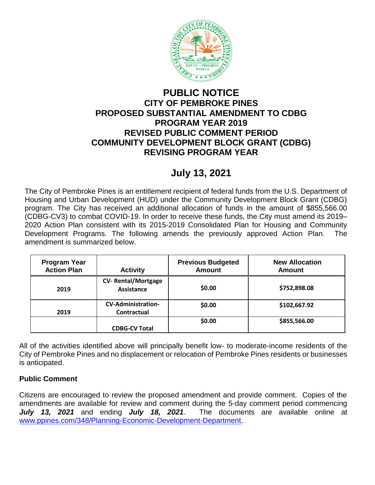

## **PUBLIC NOTICE CITY OF PEMBROKE PINES PROPOSED SUBSTANTIAL AMENDMENT TO CDBG PROGRAM YEAR 2019 REVISED PUBLIC COMMENT PERIOD COMMUNITY DEVELOPMENT BLOCK GRANT (CDBG) REVISING PROGRAM YEAR**

## **July 13, 2021**

The City of Pembroke Pines is an entitlement recipient of federal funds from the U.S. Department of Housing and Urban Development (HUD) under the Community Development Block Grant (CDBG) program. The City has received an additional allocation of funds in the amount of \$855,566.00 (CDBG-CV3) to combat COVID-19. In order to receive these funds, the City must amend its 2019– 2020 Action Plan consistent with its 2015-2019 Consolidated Plan for Housing and Community Development Programs. The following amends the previously approved Action Plan. The amendment is summarized below.

| <b>Program Year</b><br><b>Action Plan</b> | <b>Activity</b>                          | <b>Previous Budgeted</b><br><b>Amount</b> | <b>New Allocation</b><br><b>Amount</b> |
|-------------------------------------------|------------------------------------------|-------------------------------------------|----------------------------------------|
| 2019                                      | <b>CV-Rental/Mortgage</b><br>Assistance  | \$0.00                                    | \$752,898.08                           |
| 2019                                      | <b>CV-Administration-</b><br>Contractual | \$0.00                                    | \$102,667.92                           |
|                                           | <b>CDBG-CV Total</b>                     | \$0.00                                    | \$855,566.00                           |

All of the activities identified above will principally benefit low- to moderate-income residents of the City of Pembroke Pines and no displacement or relocation of Pembroke Pines residents or businesses is anticipated.

## **Public Comment**

Citizens are encouraged to review the proposed amendment and provide comment. Copies of the amendments are available for review and comment during the 5-day comment period commencing *July 13, 2021* and ending *July 18, 2021*. The documents are available online at [www.ppines.com/348/Planning-Economic-Development-Department.](http://www.ppines.com/348/Planning-Economic-Development-Department)